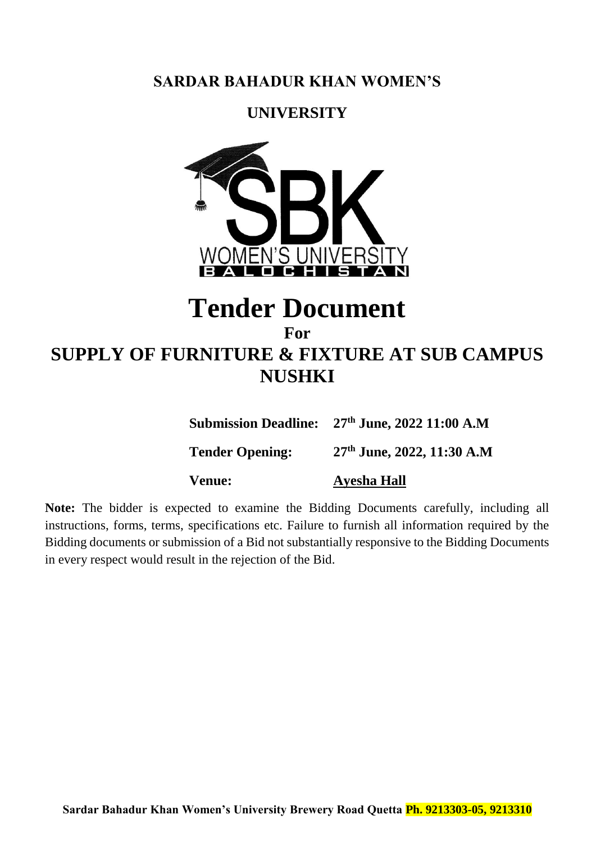## **SARDAR BAHADUR KHAN WOMEN'S**

## **UNIVERSITY**



# **Tender Document**

## **For SUPPLY OF FURNITURE & FIXTURE AT SUB CAMPUS NUSHKI**

**Submission Deadline: 27th June, 2022 11:00 A.M**

**Tender Opening: 27th June, 2022, 11:30 A.M**

**Venue: Ayesha Hall** 

**Note:** The bidder is expected to examine the Bidding Documents carefully, including all instructions, forms, terms, specifications etc. Failure to furnish all information required by the Bidding documents or submission of a Bid not substantially responsive to the Bidding Documents in every respect would result in the rejection of the Bid.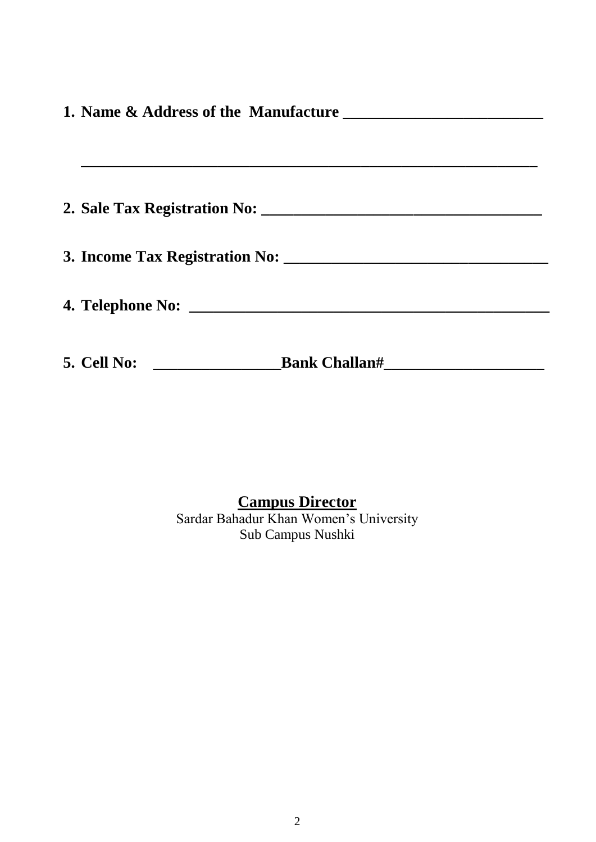| 5. Cell No:<br><u>_____________________________</u> |  |  |
|-----------------------------------------------------|--|--|

### **Campus Director** Sardar Bahadur Khan Women's University Sub Campus Nushki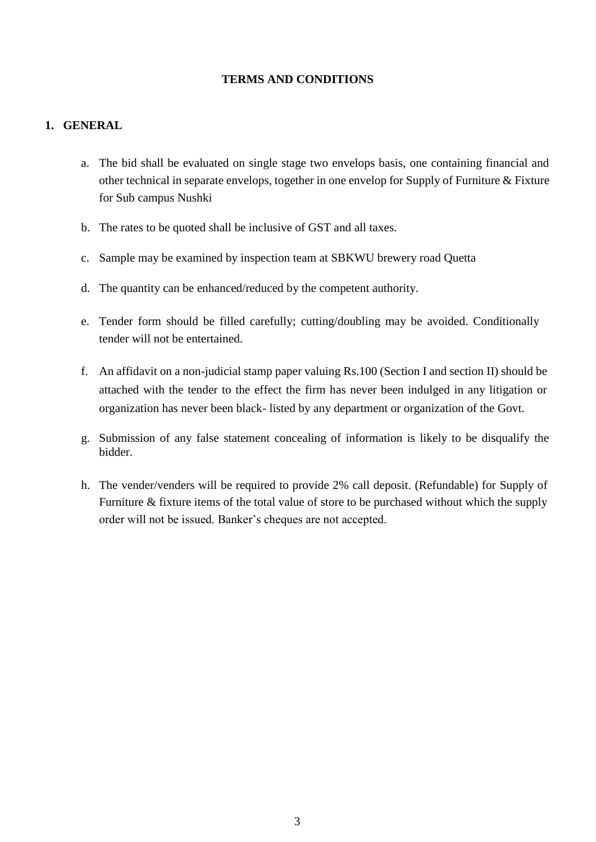#### **TERMS AND CONDITIONS**

#### **1. GENERAL**

- a. The bid shall be evaluated on single stage two envelops basis, one containing financial and other technical in separate envelops, together in one envelop for Supply of Furniture  $\&$  Fixture for Sub campus Nushki
- b. The rates to be quoted shall be inclusive of GST and all taxes.
- c. Sample may be examined by inspection team at SBKWU brewery road Quetta
- d. The quantity can be enhanced/reduced by the competent authority.
- e. Tender form should be filled carefully; cutting/doubling may be avoided. Conditionally tender will not be entertained.
- f. An affidavit on a non-judicial stamp paper valuing Rs.100 (Section I and section II) should be attached with the tender to the effect the firm has never been indulged in any litigation or organization has never been black- listed by any department or organization of the Govt.
- g. Submission of any false statement concealing of information is likely to be disqualify the bidder.
- h. The vender/venders will be required to provide 2% call deposit. (Refundable) for Supply of Furniture & fixture items of the total value of store to be purchased without which the supply order will not be issued. Banker's cheques are not accepted.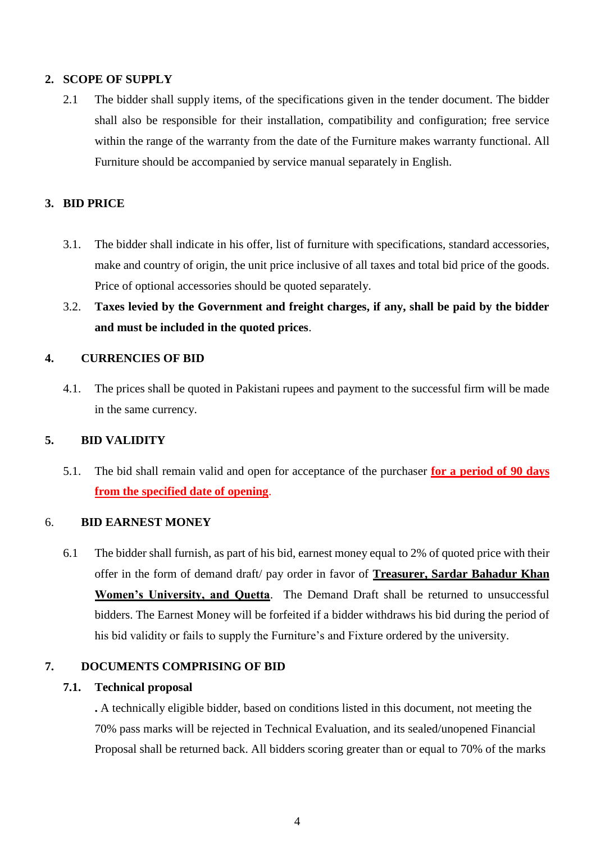#### **2. SCOPE OF SUPPLY**

2.1 The bidder shall supply items, of the specifications given in the tender document. The bidder shall also be responsible for their installation, compatibility and configuration; free service within the range of the warranty from the date of the Furniture makes warranty functional. All Furniture should be accompanied by service manual separately in English.

#### **3. BID PRICE**

- 3.1. The bidder shall indicate in his offer, list of furniture with specifications, standard accessories, make and country of origin, the unit price inclusive of all taxes and total bid price of the goods. Price of optional accessories should be quoted separately.
- 3.2. **Taxes levied by the Government and freight charges, if any, shall be paid by the bidder and must be included in the quoted prices**.

#### **4. CURRENCIES OF BID**

4.1. The prices shall be quoted in Pakistani rupees and payment to the successful firm will be made in the same currency.

#### **5. BID VALIDITY**

5.1. The bid shall remain valid and open for acceptance of the purchaser **for a period of 90 days from the specified date of opening**.

#### 6. **BID EARNEST MONEY**

6.1 The bidder shall furnish, as part of his bid, earnest money equal to 2% of quoted price with their offer in the form of demand draft/ pay order in favor of **Treasurer, Sardar Bahadur Khan Women's University, and Quetta**. The Demand Draft shall be returned to unsuccessful bidders. The Earnest Money will be forfeited if a bidder withdraws his bid during the period of his bid validity or fails to supply the Furniture's and Fixture ordered by the university.

#### **7. DOCUMENTS COMPRISING OF BID**

#### **7.1. Technical proposal**

**.** A technically eligible bidder, based on conditions listed in this document, not meeting the 70% pass marks will be rejected in Technical Evaluation, and its sealed/unopened Financial Proposal shall be returned back. All bidders scoring greater than or equal to 70% of the marks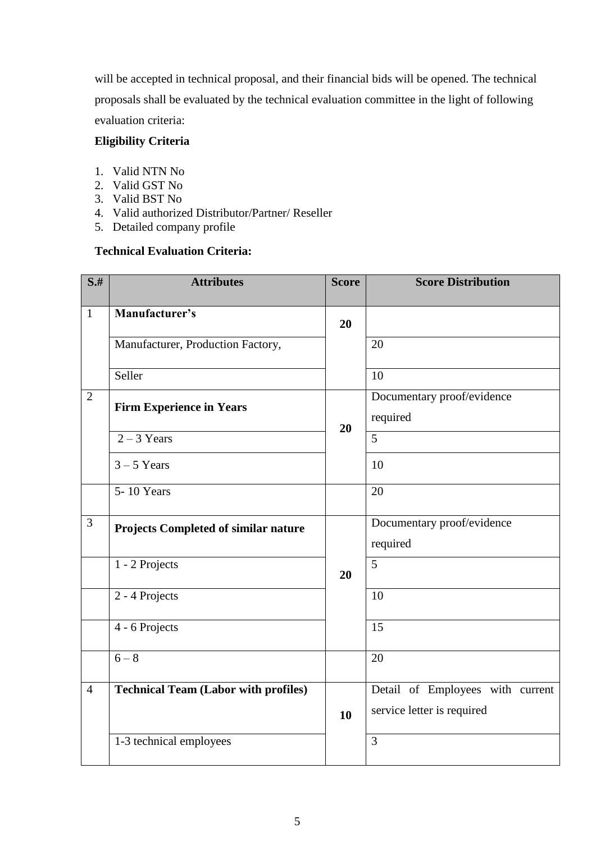will be accepted in technical proposal, and their financial bids will be opened. The technical proposals shall be evaluated by the technical evaluation committee in the light of following evaluation criteria:

#### **Eligibility Criteria**

- 1. Valid NTN No
- 2. Valid GST No
- 3. Valid BST No
- 4. Valid authorized Distributor/Partner/ Reseller
- 5. Detailed company profile

#### **Technical Evaluation Criteria:**

| $S+$           | <b>Attributes</b>                           | <b>Score</b> | <b>Score Distribution</b>                                      |
|----------------|---------------------------------------------|--------------|----------------------------------------------------------------|
| $\mathbf{1}$   | Manufacturer's                              | 20           |                                                                |
|                | Manufacturer, Production Factory,           |              | 20                                                             |
|                | Seller                                      |              | 10                                                             |
| $\mathbf{2}$   | <b>Firm Experience in Years</b>             | 20           | Documentary proof/evidence<br>required                         |
|                | $2 - 3$ Years                               |              | 5                                                              |
|                | $3 - 5$ Years                               |              | 10                                                             |
|                | $5 - 10$ Years                              |              | 20                                                             |
| 3              | <b>Projects Completed of similar nature</b> |              | Documentary proof/evidence<br>required                         |
|                | 1 - 2 Projects                              | 20           | $\overline{5}$                                                 |
|                | 2 - 4 Projects                              |              | 10                                                             |
|                | 4 - 6 Projects                              |              | 15                                                             |
|                | $6 - 8$                                     |              | 20                                                             |
| $\overline{4}$ | <b>Technical Team (Labor with profiles)</b> | 10           | Detail of Employees with current<br>service letter is required |
|                | 1-3 technical employees                     |              | 3                                                              |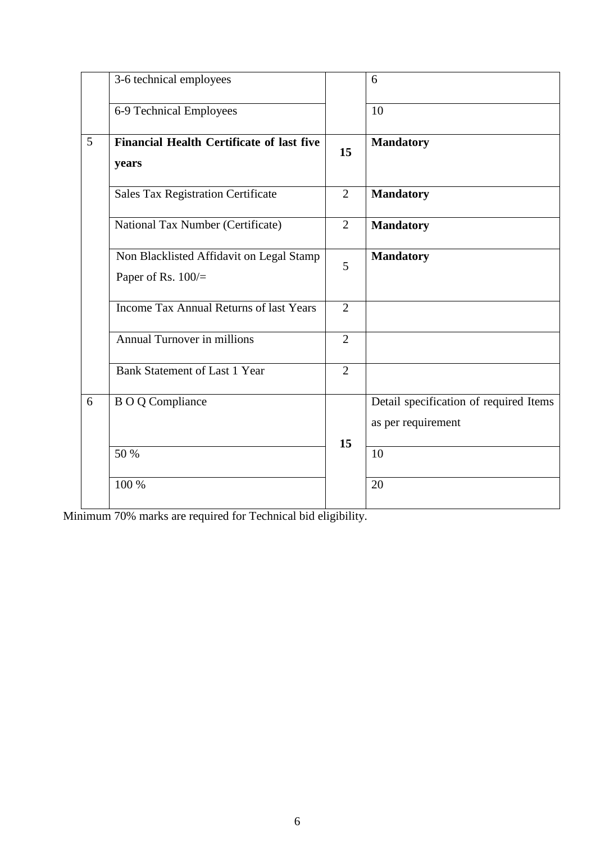|   | 3-6 technical employees                                        |                | 6                                                            |
|---|----------------------------------------------------------------|----------------|--------------------------------------------------------------|
|   | 6-9 Technical Employees                                        |                | 10                                                           |
| 5 | <b>Financial Health Certificate of last five</b><br>years      | 15             | <b>Mandatory</b>                                             |
|   | <b>Sales Tax Registration Certificate</b>                      | $\overline{2}$ | <b>Mandatory</b>                                             |
|   | National Tax Number (Certificate)                              | $\overline{2}$ | <b>Mandatory</b>                                             |
|   | Non Blacklisted Affidavit on Legal Stamp<br>Paper of Rs. 100/= | 5              | <b>Mandatory</b>                                             |
|   | <b>Income Tax Annual Returns of last Years</b>                 | $\overline{2}$ |                                                              |
|   | Annual Turnover in millions                                    | $\overline{2}$ |                                                              |
|   | <b>Bank Statement of Last 1 Year</b>                           | $\overline{2}$ |                                                              |
| 6 | <b>BOQ</b> Compliance                                          | 15             | Detail specification of required Items<br>as per requirement |
|   | 50 %                                                           |                | $\overline{10}$                                              |
|   | 100 %                                                          |                | 20                                                           |

Minimum 70% marks are required for Technical bid eligibility.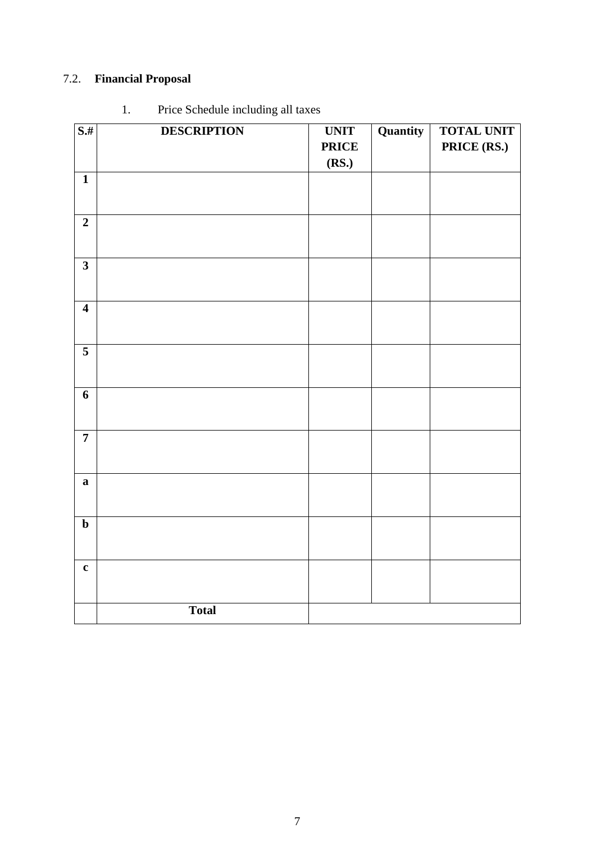## 7.2. **Financial Proposal**

| $S+$                    | <b>DESCRIPTION</b> | <b>UNIT</b>  | Quantity | <b>TOTAL UNIT</b> |
|-------------------------|--------------------|--------------|----------|-------------------|
|                         |                    | <b>PRICE</b> |          | PRICE (RS.)       |
|                         |                    | (RS.)        |          |                   |
| $\mathbf{1}$            |                    |              |          |                   |
|                         |                    |              |          |                   |
|                         |                    |              |          |                   |
| $\overline{2}$          |                    |              |          |                   |
|                         |                    |              |          |                   |
|                         |                    |              |          |                   |
| $\overline{\mathbf{3}}$ |                    |              |          |                   |
|                         |                    |              |          |                   |
| $\overline{\mathbf{4}}$ |                    |              |          |                   |
|                         |                    |              |          |                   |
|                         |                    |              |          |                   |
| 5                       |                    |              |          |                   |
|                         |                    |              |          |                   |
|                         |                    |              |          |                   |
| 6                       |                    |              |          |                   |
|                         |                    |              |          |                   |
|                         |                    |              |          |                   |
| $\overline{7}$          |                    |              |          |                   |
|                         |                    |              |          |                   |
| $\mathbf{a}$            |                    |              |          |                   |
|                         |                    |              |          |                   |
|                         |                    |              |          |                   |
| $\mathbf b$             |                    |              |          |                   |
|                         |                    |              |          |                   |
|                         |                    |              |          |                   |
| $\mathbf c$             |                    |              |          |                   |
|                         |                    |              |          |                   |
|                         |                    |              |          |                   |
|                         | <b>Total</b>       |              |          |                   |

## 1. Price Schedule including all taxes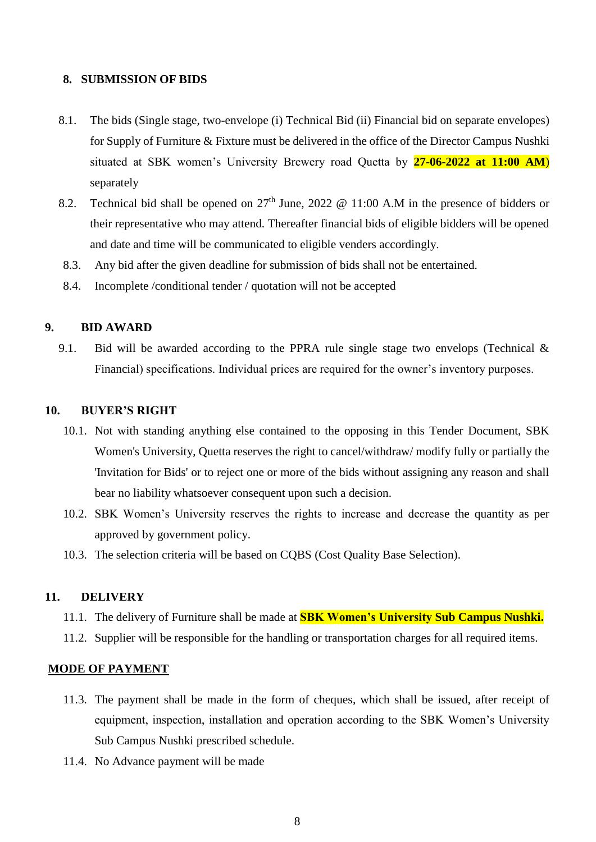#### **8. SUBMISSION OF BIDS**

- 8.1. The bids (Single stage, two-envelope (i) Technical Bid (ii) Financial bid on separate envelopes) for Supply of Furniture & Fixture must be delivered in the office of the Director Campus Nushki situated at SBK women's University Brewery road Quetta by **27-06-2022 at 11:00 AM**) separately
- 8.2. Technical bid shall be opened on  $27<sup>th</sup>$  June, 2022 @ 11:00 A.M in the presence of bidders or their representative who may attend. Thereafter financial bids of eligible bidders will be opened and date and time will be communicated to eligible venders accordingly.
- 8.3. Any bid after the given deadline for submission of bids shall not be entertained.
- 8.4. Incomplete /conditional tender / quotation will not be accepted

#### **9. BID AWARD**

9.1. Bid will be awarded according to the PPRA rule single stage two envelops (Technical & Financial) specifications. Individual prices are required for the owner's inventory purposes.

#### **10. BUYER'S RIGHT**

- 10.1. Not with standing anything else contained to the opposing in this Tender Document, SBK Women's University, Quetta reserves the right to cancel/withdraw/ modify fully or partially the 'Invitation for Bids' or to reject one or more of the bids without assigning any reason and shall bear no liability whatsoever consequent upon such a decision.
- 10.2. SBK Women's University reserves the rights to increase and decrease the quantity as per approved by government policy.
- 10.3. The selection criteria will be based on CQBS (Cost Quality Base Selection).

#### **11. DELIVERY**

- 11.1. The delivery of Furniture shall be made at **SBK Women's University Sub Campus Nushki.**
- 11.2. Supplier will be responsible for the handling or transportation charges for all required items.

#### **MODE OF PAYMENT**

- 11.3. The payment shall be made in the form of cheques, which shall be issued, after receipt of equipment, inspection, installation and operation according to the SBK Women's University Sub Campus Nushki prescribed schedule.
- 11.4. No Advance payment will be made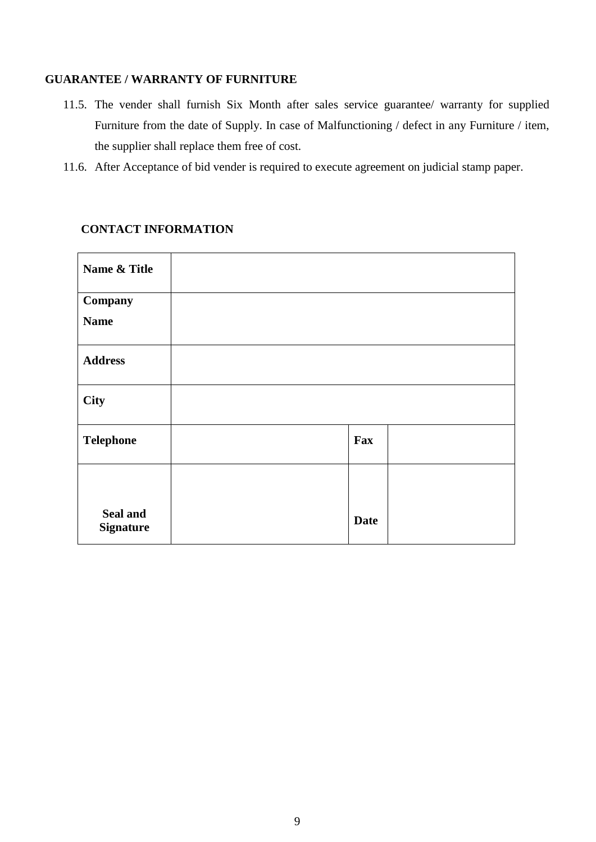#### **GUARANTEE / WARRANTY OF FURNITURE**

- 11.5. The vender shall furnish Six Month after sales service guarantee/ warranty for supplied Furniture from the date of Supply. In case of Malfunctioning / defect in any Furniture / item, the supplier shall replace them free of cost.
- 11.6. After Acceptance of bid vender is required to execute agreement on judicial stamp paper.

#### **CONTACT INFORMATION**

| Name & Title                 |             |  |
|------------------------------|-------------|--|
| Company                      |             |  |
| <b>Name</b>                  |             |  |
| <b>Address</b>               |             |  |
| City                         |             |  |
| <b>Telephone</b>             | Fax         |  |
|                              |             |  |
| Seal and<br><b>Signature</b> | <b>Date</b> |  |